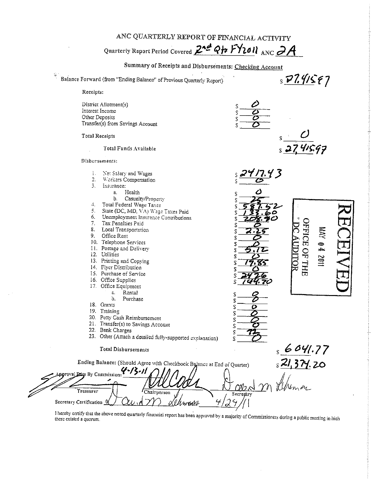ANC QUARTERLY REPORT OF FINANCIAL ACTIVITY

Quarterly Report Period Covered 2nd Qto FY2011 ANC 2A



I hereby certify that the above noted quarterly financial report has been approved by a majority of Commissioners during a public meeting in hich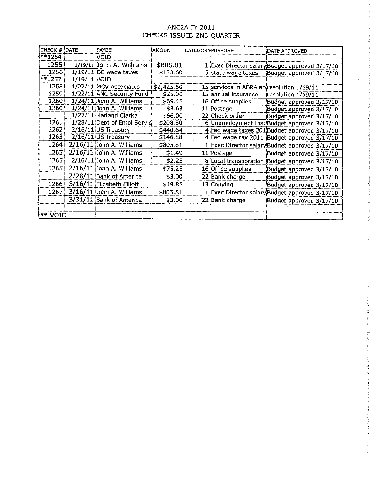## ANC2A FY 2011 CHECKS ISSUED 2ND QUARTER

| <b>CHECK # DATE</b> |                | PAYEE                        | :AMOUNT    | <b>CATEGORYPURPOSE</b> |                                           | DATE APPROVED                                  |
|---------------------|----------------|------------------------------|------------|------------------------|-------------------------------------------|------------------------------------------------|
| $***1254$           |                | VOID                         |            |                        |                                           |                                                |
| 1255                |                | $1/19/11$ John A. Williams   | \$805.81   |                        |                                           | 1 Exec Director salary Budget approved 3/17/10 |
| 1256                |                | $1/19/11$ DC wage taxes      | \$133.60   |                        | 5 state wage taxes                        | Budget approved 3/17/10                        |
| **1257              | $1/19/11$ VOID |                              |            |                        |                                           |                                                |
| 1258                |                | 1/22/11 MCV Associates       | \$2,425.50 |                        | 15 services in ABRA ap resolution 1/19/11 |                                                |
| 1259                |                | 1/22/11 ANC Security Fund    | \$25.00    |                        | 15 annual insurance                       | resolution 1/19/11                             |
| 1260                |                | $1/24/11$ : John A. Williams | \$69.45]   |                        | 16 Office supplies                        | Budget approved 3/17/10                        |
| 1260                |                | $1/24/11$ John A. Williams   | \$3.63\$   |                        | 11 Postage                                | Budget approved 3/17/10                        |
|                     |                | 1/27/11 Harland Clarke       | \$66.00    |                        | 22 Check order                            | Budget approved 3/17/10                        |
| 1261                |                | 1/28/11 Dept of Empl Servic  | \$208.80   |                        |                                           | 6 Unemployment Inst Budget approved 3/17/10    |
| 1262                |                | $2/16/11$ US Treasury        | \$440.64   |                        |                                           | 4 Fed wage taxes 201 Budget approved 3/17/10   |
| 1263                |                | $2/16/11$ US Treasury        | \$146.88   |                        |                                           | 4 Fed wage tax 2011 Budget approved 3/17/10    |
| 1264                |                | $2/16/11$ John A. Williams   | \$805.81]  |                        |                                           | 1 Exec Director salary Budget approved 3/17/10 |
| 1265                |                | 2/16/11 John A. Williams     | \$1 49     |                        | 11 Postage                                | Budget approved 3/17/10                        |
| 1265                |                | $2/16/11$ : John A. Williams | \$2.25\$   |                        |                                           | 8 Local transporation Budget approved 3/17/10  |
| 1265                |                | 2/16/11 John A. Williams     | \$75.25    |                        | 16 Office supplies                        | Budget approved 3/17/10                        |
|                     |                | 2/28/11 Bank of America      | \$3.00\$   |                        | 22 Bank charge                            | Budget approved 3/17/10                        |
| 1266                |                | 3/16/11 Elizabeth Elliott    | \$19.85    |                        | 13 Copying                                | Budget approved 3/17/10                        |
| 1267                |                | $3/16/11$ John A. Williams   | \$805.81   |                        |                                           | 1 Exec Director salary Budget approved 3/17/10 |
|                     |                | 3/31/11 Bank of America      | \$3.00     |                        | 22 Bank charge                            | Budget approved 3/17/10                        |
| ** VOID             |                |                              |            |                        |                                           |                                                |